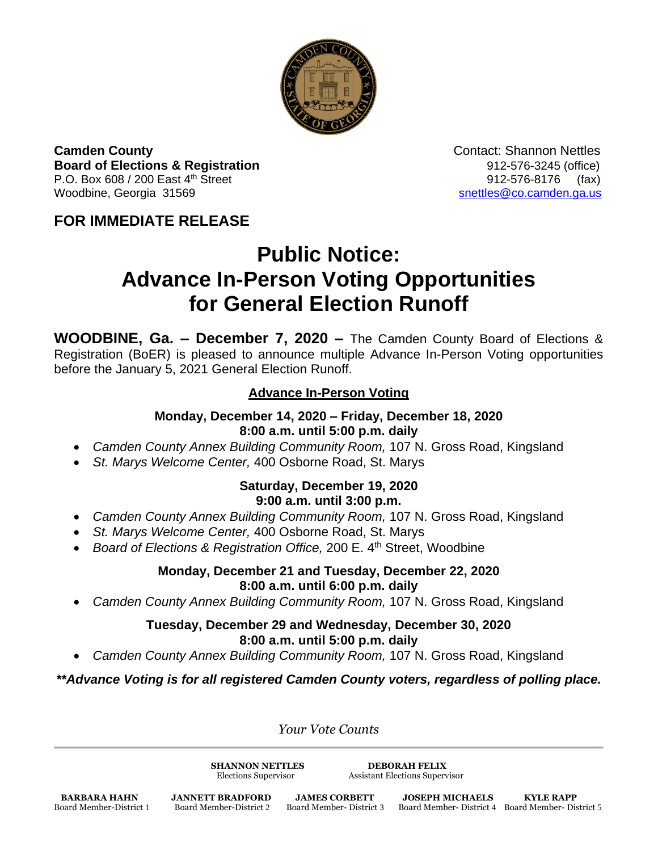

**Camden County Camden County Contact: Shannon Nettles Board of Elections & Registration** 8. **Board of Elections & Registration** P.O. Box 608 / 200 East 4<sup>th</sup> Street 912-576-8176 (fax) Woodbine, Georgia 31569 [snettles@co.camden.ga.us](mailto:snettles@co.camden.ga.us)

# **FOR IMMEDIATE RELEASE**

# **Public Notice: Advance In-Person Voting Opportunities for General Election Runoff**

**WOODBINE, Ga. – December 7, 2020 –** The Camden County Board of Elections & Registration (BoER) is pleased to announce multiple Advance In-Person Voting opportunities before the January 5, 2021 General Election Runoff.

# **Advance In-Person Voting**

#### **Monday, December 14, 2020 – Friday, December 18, 2020 8:00 a.m. until 5:00 p.m. daily**

- *Camden County Annex Building Community Room,* 107 N. Gross Road, Kingsland
- *St. Marys Welcome Center,* 400 Osborne Road, St. Marys

#### **Saturday, December 19, 2020 9:00 a.m. until 3:00 p.m.**

- *Camden County Annex Building Community Room,* 107 N. Gross Road, Kingsland
- *St. Marys Welcome Center,* 400 Osborne Road, St. Marys
- *Board of Elections & Registration Office, 200 E. 4<sup>th</sup> Street, Woodbine*

### **Monday, December 21 and Tuesday, December 22, 2020 8:00 a.m. until 6:00 p.m. daily**

*Camden County Annex Building Community Room,* 107 N. Gross Road, Kingsland

## **Tuesday, December 29 and Wednesday, December 30, 2020 8:00 a.m. until 5:00 p.m. daily**

*Camden County Annex Building Community Room,* 107 N. Gross Road, Kingsland

*\*\*Advance Voting is for all registered Camden County voters, regardless of polling place.*

*Your Vote Counts*

**SHANNON NETTLES DEBORAH FELIX**

Elections Supervisor Assistant Elections Supervisor

**BARBARA HAHN JANNETT BRADFORD JAMES CORBETT JOSEPH MICHAELS KYLE RAPP**<br>Board Member-District 1 Board Member-District 2 Board Member-District 3 Board Member-District 4 Board Member-Dis

Board Member-District 1 Board Member-District 2 Board Member- District 3 Board Member- District 4 Board Member- District 5